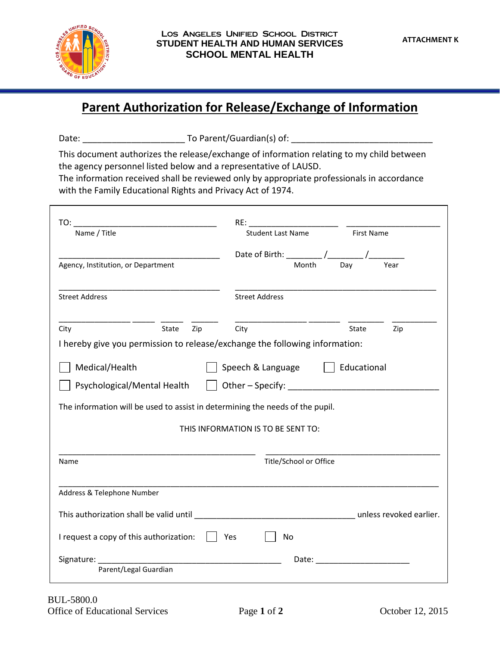

## **Parent Authorization for Release/Exchange of Information**

Date: \_\_\_\_\_\_\_\_\_\_\_\_\_\_\_\_\_\_\_\_\_ To Parent/Guardian(s) of: \_\_\_\_\_\_\_\_\_\_\_\_\_\_\_\_\_\_\_\_\_\_\_\_\_\_\_\_\_

This document authorizes the release/exchange of information relating to my child between the agency personnel listed below and a representative of LAUSD.

The information received shall be reviewed only by appropriate professionals in accordance with the Family Educational Rights and Privacy Act of 1974.

| Name / Title                                                                                                                                     |       |     | <b>Student Last Name</b><br><b>First Name</b> |                        |  |                                                                                                                                                                                                                                |     |  |
|--------------------------------------------------------------------------------------------------------------------------------------------------|-------|-----|-----------------------------------------------|------------------------|--|--------------------------------------------------------------------------------------------------------------------------------------------------------------------------------------------------------------------------------|-----|--|
|                                                                                                                                                  |       |     |                                               |                        |  |                                                                                                                                                                                                                                |     |  |
| Agency, Institution, or Department                                                                                                               |       |     |                                               |                        |  |                                                                                                                                                                                                                                |     |  |
| <b>Street Address</b>                                                                                                                            |       |     |                                               | <b>Street Address</b>  |  |                                                                                                                                                                                                                                |     |  |
| City                                                                                                                                             | State | Zip | City                                          |                        |  | State                                                                                                                                                                                                                          | Zip |  |
| I hereby give you permission to release/exchange the following information:                                                                      |       |     |                                               |                        |  |                                                                                                                                                                                                                                |     |  |
| Medical/Health<br>Speech & Language     Educational                                                                                              |       |     |                                               |                        |  |                                                                                                                                                                                                                                |     |  |
| $\vert$ $\vert$ Other – Specify:<br>Psychological/Mental Health<br>The information will be used to assist in determining the needs of the pupil. |       |     |                                               |                        |  |                                                                                                                                                                                                                                |     |  |
|                                                                                                                                                  |       |     |                                               |                        |  |                                                                                                                                                                                                                                |     |  |
| Name                                                                                                                                             |       |     |                                               | Title/School or Office |  |                                                                                                                                                                                                                                |     |  |
| Address & Telephone Number                                                                                                                       |       |     |                                               |                        |  |                                                                                                                                                                                                                                |     |  |
|                                                                                                                                                  |       |     |                                               |                        |  |                                                                                                                                                                                                                                |     |  |
|                                                                                                                                                  |       |     |                                               |                        |  |                                                                                                                                                                                                                                |     |  |
| I request a copy of this authorization:                                                                                                          |       |     | Yes                                           | <b>No</b>              |  |                                                                                                                                                                                                                                |     |  |
|                                                                                                                                                  |       |     |                                               |                        |  | Date: the contract of the contract of the contract of the contract of the contract of the contract of the contract of the contract of the contract of the contract of the contract of the contract of the contract of the cont |     |  |
| Parent/Legal Guardian                                                                                                                            |       |     |                                               |                        |  |                                                                                                                                                                                                                                |     |  |